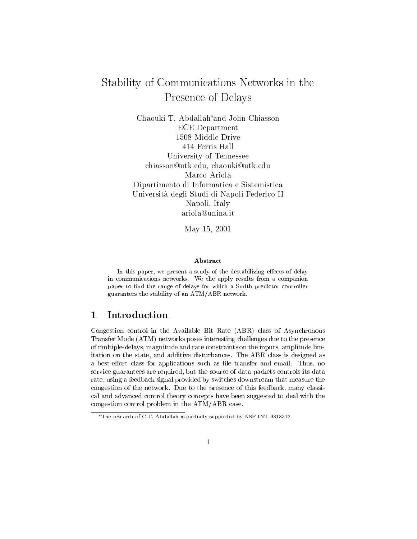# Stability of Communications Networks in the Presence of Delays

Chaouki T. Abdallah<sup>\*</sup>and John Chiasson ECE Department 1508 Middle Drive 414 Ferris Hall University of Tennessee chiasson@utk.edu, chaouki@utk.edu Marco Ariola Dipartimento di Informatica e Sistemistica Universita degli Studi di Napoli Federico II Napoli, Italy ariola@unina.it

May 15, 2001

### Abstract

In this paper, we present a study of the destabilizing effects of delay in communications networks. We the apply results from a companion paper to find the range of delays for which a Smith predictor controller guarantees the stability of an ATM/ABR network.

#### **Introduction** 1

Congestion control in the Available Bit Rate (ABR) class of Asynchronous Transfer Mode (ATM) networks poses interesting challenges due to the presence of multiple-delays, magnitude and rate constraints on the inputs, amplitude limitation on the state, and additive disturbances. The ABR class is designed as a best-effort class for applications such as file transfer and email. Thus, no service guarantees are required, but the source of data packets controls its data rate, using a feedback signal provided by switches downstream that measure the congestion of the network. Due to the presence of this feedback, many classical and advanced control theory concepts have been suggested to deal with the congestion control problem in the ATM/ABR case.

The research of C.T. Abdallah is partially supported by NSF INT-9818312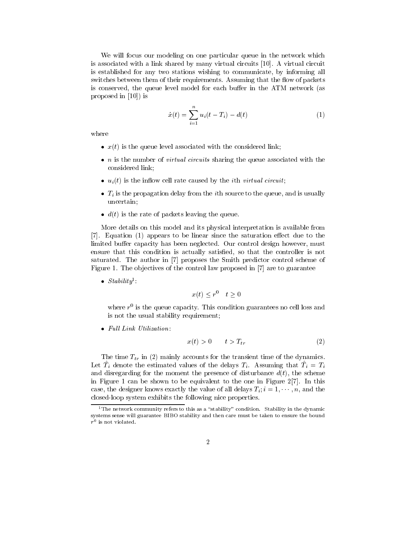We will focus our modeling on one particular queue in the network which is associated with a link shared by many virtual circuits [10]. A virtual circuit is established for any two stations wishing to communicate, by informing all switches between them of their requirements. Assuming that the flow of packets is conserved, the queue level model for each buffer in the ATM network (as proposed in [10]) is

$$
\dot{x}(t) = \sum_{i=1}^{n} u_i(t - T_i) - d(t) \tag{1}
$$

where

- $\bullet$   $x(t)$  is the queue level associated with the considered link;
- $\bullet$  n is the number of *virtual circuits* sharing the queue associated with the considered link;
- $\bullet$   $u_i(t)$  is the inflow cell rate caused by the ith virtual circuit;
- $\bullet$  1; is the propagation delay from the  $i$ th source to the queue, and is usually uncertain;
- $\bullet$  d(t) is the rate of packets leaving the queue.

More details on this model and its physical interpretation is available from  $[7]$ . Equation  $(1)$  appears to be linear since the saturation effect due to the limited buffer capacity has been neglected. Our control design however, must ensure that this condition is actually satisfied, so that the controller is not saturated. The author in [7] proposes the Smith predictor control scheme of Figure 1. The objectives of the control law proposed in [7] are to guarantee

 $\bullet$   $\Delta t$  as  $\int$   $\frac{1}{2}$   $\int$   $\frac{1}{2}$   $\int$   $\frac{1}{2}$   $\int$   $\frac{1}{2}$   $\int$   $\frac{1}{2}$   $\int$   $\frac{1}{2}$   $\int$   $\frac{1}{2}$   $\int$   $\frac{1}{2}$   $\int$   $\frac{1}{2}$   $\int$   $\frac{1}{2}$   $\int$   $\frac{1}{2}$   $\int$   $\frac{1}{2}$   $\int$   $\frac{1}{2}$   $\int$   $\frac{1}{2$ 

$$
x(t) \le r^0 \quad t \ge 0
$$

where  $r^{\perp}$  is the queue capacity. This condition guarantees no cell loss and is not the usual stability requirement;

 $\bullet$  Full Link Utilization:

$$
x(t) > 0 \qquad t > T_{tr} \tag{2}
$$

The time  $T_{tr}$  in (2) mainly accounts for the transient time of the dynamics. Let  $T_i$  denote the estimated values of the delays  $T_i$ . Assuming that  $T_i = T_i$ and disregarding for the moment the presence of disturbance  $d(t)$ , the scheme in Figure 1 can be shown to be equivalent to the one in Figure 2[7]. In this case, the designer knows exactly the value of all delays  $T_i$ ;  $i = 1, \dots, n$ , and the closed-loop system exhibits the following nice properties.

<sup>&</sup>lt;sup>1</sup>The network community refers to this as a "stability" condition. Stability in the dynamic systems sense will guarantee BIBO stability and then care must be taken to ensure the bound  $r$  is not violated.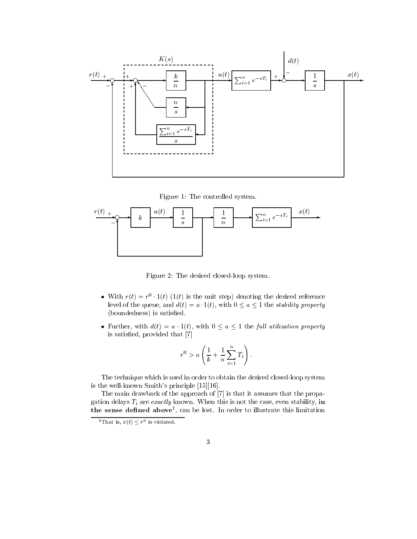

Figure 1: The controlled system.



Figure 2: The desired closed-loop system.

- $\bullet$  with  $r(t) = r^{\circ} \cdot 1(t)$  (1(t) is the unit step) denoting the desired reference level of the queue, and  $d(t) = a \cdot 1(t)$ , with  $0 \le a \le 1$  the *stability property* (boundedness) is satisfied.
- Further, with  $d(t) = a \cdot 1(t)$ , with  $0 \le a \le 1$  the full utilization property is satisfied, provided that [7]

$$
r^0 > a\left(\frac{1}{k} + \frac{1}{n}\sum_{i=1}^n T_i\right).
$$

The technique which is used in order to obtain the desired closed-loop system is the well-known Smith's principle [15][16].

The main drawback of the approach of [7] is that it assumes that the propagation delays  $T_i$  are exactly known. When this is not the case, even stability, in the sense dened above2 , can be lost. In order to illustrate this limitation

 $\tau$  inatis,  $x(t) \searrow r\tau$  is violated.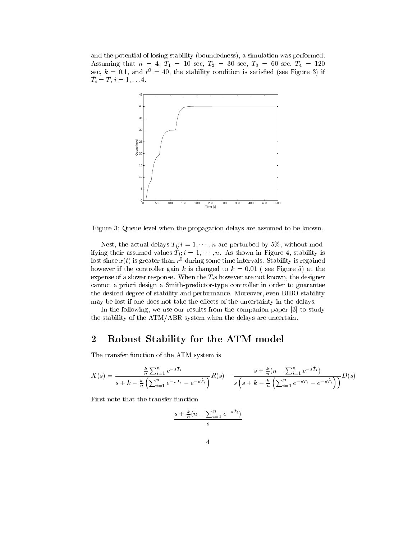and the potential of losing stability (boundedness), a simulation was performed. Assuming that no  $A$  is a second to  $A$  second that  $A$ sec,  $\kappa = 0.1$ , and  $r_{\parallel} = 40$ , the stability condition is satisfied (see Figure 3) if  $\mathbf{I}_i = \mathbf{I}_i$ ,  $\mathbf{I}_i = \mathbf{I}_i$ ,  $\mathbf{I}_i$ .



Figure 3: Queue level when the propagation delays are assumed to be known.

Nest, the actual delays  $T_i$ ;  $i = 1, \dots, n$  are perturbed by 5%, without modifying their assumed values  $T_i$ ;  $i = 1, \cdots, n$ . As shown in Figure 4, stability is fost since  $x(t)$  is greater than  $r^{\perp}$  during some time intervals. Stability is regained however if the controller gain k is changed to  $k = 0.01$  (see Figure 5) at the expense of a slower response. When the  $T_i$ s however are not known, the designer cannot a priori design a Smith-predictor-type controller in order to guarantee the desired degree of stability and performance. Moreover, even BIBO stability may be lost if one does not take the effects of the uncertainty in the delays.

In the following, we use our results from the companion paper [3] to study the stability of the ATM/ABR system when the delays are uncertain.

## 2 Robust Stability for the ATM model

The transfer function of the ATM system is

$$
X(s) = \frac{\frac{k}{n} \sum_{i=1}^{n} e^{-sT_i}}{s + k - \frac{k}{n} \left( \sum_{i=1}^{n} e^{-sT_i} - e^{-sT_i} \right)} R(s) - \frac{s + \frac{k}{n} (n - \sum_{i=1}^{n} e^{-sT_i})}{s \left( s + k - \frac{k}{n} \left( \sum_{i=1}^{n} e^{-sT_i} - e^{-sT_i} \right) \right)} D(s)
$$

First note that the transfer function

$$
\frac{s+\frac{k}{n}(n-\sum_{i=1}^n e^{-s\hat{T}_i})}{s}
$$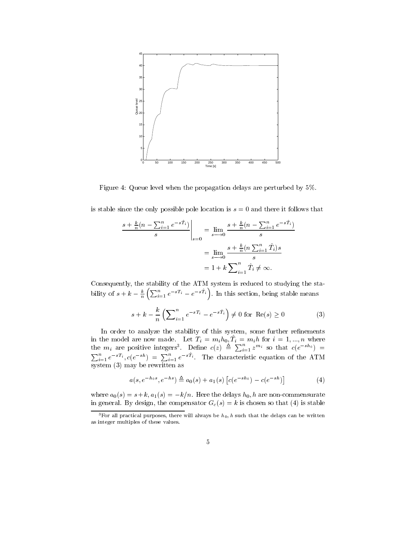

Figure 4: Queue level when the propagation delays are perturbed by 5%.

is stable since the only possible pole location is  $s = 0$  and there it follows that

$$
\frac{s + \frac{k}{n}(n - \sum_{i=1}^{n} e^{-s\hat{T}_i})}{s} \Big|_{s=0} = \lim_{s \to 0} \frac{s + \frac{k}{n}(n - \sum_{i=1}^{n} e^{-s\hat{T}_i})}{s}
$$

$$
= \lim_{s \to 0} \frac{s + \frac{k}{n}(n \sum_{i=1}^{n} \hat{T}_i)s}{s}
$$

$$
= 1 + k \sum_{i=1}^{n} \hat{T}_i \neq \infty.
$$

Consequently, the stability of the ATM system is reduced to studying the stability of  $s + k - \frac{k}{n} \left( \sum_{i=1}^n e^{-sT_i} - e^{-s\hat{T}_i} \right)$ . In this section, being stable means

$$
s + k - \frac{k}{n} \left( \sum_{i=1}^{n} e^{-sT_i} - e^{-s\hat{T}_i} \right) \neq 0 \text{ for } \text{Re}(s) \ge 0 \tag{3}
$$

In order to analyze the stability of this system, some further renements in the model are now made. Let  $T_i = m_i m_0, T_i = m_i n$  for  $i = 1, ..., n$  where the  $m_i$  are positive integers<sup>3</sup>. Define  $c(z) \triangleq \sum_{i=1}^n z^{m_i}$  so that  $c(e^{-sh_0}) = \sum_{i=1}^n e^{-sT_i}$ ,  $c(e^{-sh}) = \sum_{i=1}^n e^{-sT_i}$ . The characteristic equation of the ATM system (3) may be rewritten as

$$
a(s, e^{-h_0 s}, e^{-h s}) \triangleq a_0(s) + a_1(s) \left[ c(e^{-sh_0}) - c(e^{-sh}) \right]
$$
 (4)

where  $a_0(s) = s+k$ ,  $a_1(s) = -k/n$ . Here the delays  $h_0$ , h are non-commensurate in general. By design, the compensator  $G_c(s) = k$  is chosen so that (4) is stable

<sup>&</sup>lt;sup>3</sup>For all practical purposes, there will always be  $h_0$ , h such that the delays can be written as integer multiples of these values.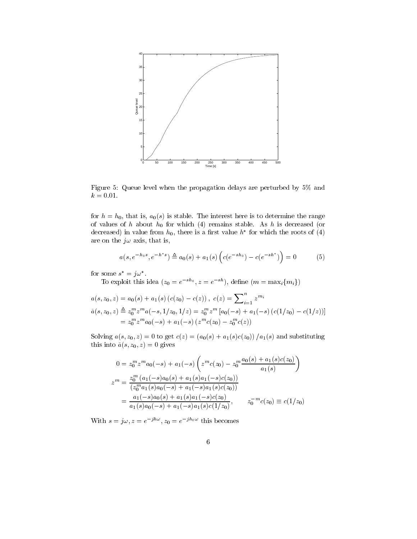

Figure 5: Queue level when the propagation delays are perturbed by 5% and  $k = 0.01$ .

for  $h = h_0$ , that is,  $a_0(s)$  is stable. The interest here is to determine the range of values of h about  $h_0$  for which (4) remains stable. As h is decreased (or decreased) in value from  $n_0$ , there is a first value  $n$  flor which the roots of (4) are on the  $j\omega$  axis, that is,

$$
a(s, e^{-h_0 s}, e^{-h^* s}) \triangleq a_0(s) + a_1(s) \left( c(e^{-sh_0}) - c(e^{-sh^*}) \right) = 0 \tag{5}
$$

for some  $s = \jmath \omega$ .

To exploit this idea  $(z_0 = e^{-sh_0}, z = e^{-sh}),$  define  $(m = \max_i \{m_i\})$ 

$$
a(s, z_0, z) = a_0(s) + a_1(s) (c(z_0) - c(z)), c(z) = \sum_{i=1}^n z^{m_i}
$$
  
\n
$$
\tilde{a}(s, z_0, z) \triangleq z_0^m z^m a(-s, 1/z_0, 1/z) = z_0^m z^m [a_0(-s) + a_1(-s) (c(1/z_0) - c(1/z))]
$$
  
\n
$$
= z_0^m z^m a_0(-s) + a_1(-s) (z^m c(z_0) - z_0^m c(z))
$$

Solving  $a(s, z_0, z) = 0$  to get  $c(z) = (a_0(s) + a_1(s)c(z_0)) / a_1(s)$  and substituting this into  $\tilde{a}(s, z_0, z) = 0$  gives

$$
0 = z_0^m z^m a_0(-s) + a_1(-s) \left( z^m c(z_0) - z_0^m \frac{a_0(s) + a_1(s)c(z_0)}{a_1(s)} \right)
$$
  
\n
$$
z^m = \frac{z_0^m (a_1(-s)a_0(s) + a_1(s)a_1(-s)c(z_0))}{(z_0^m a_1(s)a_0(-s) + a_1(-s)a_1(s)c(z_0))}
$$
  
\n
$$
= \frac{a_1(-s)a_0(s) + a_1(s)a_1(-s)c(z_0)}{a_1(s)a_0(-s) + a_1(-s)a_1(s)c(1/z_0)}, \qquad z_0^{-m} c(z_0) \equiv c(1/z_0)
$$

With  $s = j\omega, z = e^{j\omega}$ ,  $z_0 = e^{j\omega}$  this becomes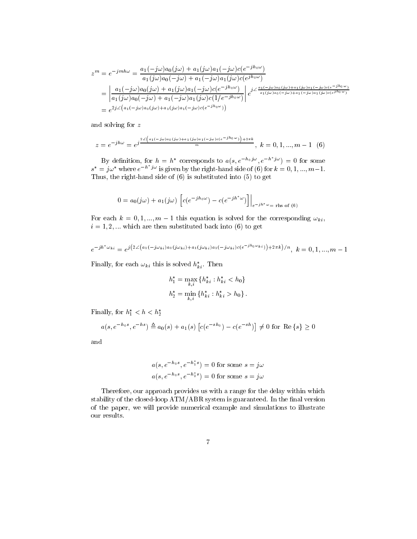$$
z^{m} = e^{-jm h\omega} = \frac{a_{1}(-j\omega)a_{0}(j\omega) + a_{1}(j\omega)a_{1}(-j\omega)c(e^{-jh_{0}\omega})}{a_{1}(j\omega)a_{0}(-j\omega) + a_{1}(-j\omega)a_{1}(j\omega)c(e^{jh_{0}\omega})}
$$
  
= 
$$
\left| \frac{a_{1}(-j\omega)a_{0}(j\omega) + a_{1}(j\omega)a_{1}(-j\omega)c(e^{-jh_{0}\omega})}{a_{1}(j\omega)a_{0}(-j\omega) + a_{1}(-j\omega)a_{1}(j\omega)c(1/e^{-jh_{0}\omega})} \right| e^{j\angle \frac{a_{1}(-j\omega)a_{0}(j\omega) + a_{1}(j\omega)a_{1}(-j\omega)c(e^{-jh_{0}\omega})}{a_{1}(j\omega)a_{0}(-j\omega) + a_{1}(-j\omega)a_{1}(j\omega)c(1/e^{-jh_{0}\omega})}} \right| e^{j\angle \frac{a_{1}(-j\omega)a_{0}(j\omega) + a_{1}(j\omega)a_{1}(j\omega)c(e^{jh_{0}\omega})}{a_{1}(j\omega)a_{0}(-j\omega) + a_{1}(j\omega)a_{1}(j\omega)c(e^{-jh_{0}\omega})}}
$$

and solving for <sup>z</sup>

$$
z = e^{-jh\omega} = e^{j\frac{2\angle(a_1(-j\omega)a_0(j\omega) + a_1(j\omega)a_1(-j\omega)c(e^{-jh_0\omega})) + 2\pi k}{m}}, \ k = 0, 1, ..., m - 1 \tag{6}
$$

By definition, for  $h = h^*$  corresponds to  $a(s, e^{-h\theta} \mathcal{I}^{\omega}, e^{-h\theta} \mathcal{I}^{\omega}) = 0$  for some  $s^* = j\omega^*$  where  $e^{-h^*j\omega}$  is given by the right-hand side of (6) for  $k = 0, 1, ..., m-1$ . Thus, the right-hand side of (6) is substituted into (5) to get

$$
0 = a_0(j\omega) + a_1(j\omega) \left[ c(e^{-jh_0\omega}) - c(e^{-jh^*\omega}) \right] \Big|_{e^{-jh^*\omega} = \text{rhs of (6)}}
$$

For each  $k = 0, 1, ..., m - 1$  this equation is solved for the corresponding  $\omega_{ki}$ ,  $i = 1, 2, \dots$  which are then substituted back into (6) to get

$$
e^{-jh^* \omega_{ki}} = e^{j\left(2 \angle (a_1(-j\omega_{ki})a_0(j\omega_{ki}) + a_1(j\omega_{ki})a_1(-j\omega_{ki})c(e^{-jh_0\omega_{ki}})\right) + 2\pi k)/n}, \ k = 0, 1, ..., m-1
$$

Finally, for each  $\omega_{ki}$  this is solved  $h_{ki}^*$ . Then

$$
h_1^* = \max_{k,i} \{ h_{ki}^* : h_{ki}^* < h_0 \}
$$
\n
$$
h_2^* = \min_{k,i} \{ h_{ki}^* : h_{ki}^* > h_0 \} \, .
$$

Finally, for  $n_1 < n < n_2$ 

$$
a(s, e^{-h_0 s}, e^{-h s}) \triangleq a_0(s) + a_1(s) [c(e^{-sh_0}) - c(e^{-sh})] \neq 0 \text{ for } \text{Re}\{s\} \geq 0
$$

and

$$
a(s, e^{-h_0 s}, e^{-h_1^* s}) = 0
$$
 for some  $s = j\omega$   

$$
a(s, e^{-h_0 s}, e^{-h_2^* s}) = 0
$$
 for some  $s = j\omega$ 

Therefore, our approach provides us with a range for the delay within which stability of the closed-loop  $ATM/ABR$  system is guaranteed. In the final version of the paper, we will provide numerical example and simulations to illustrate our results.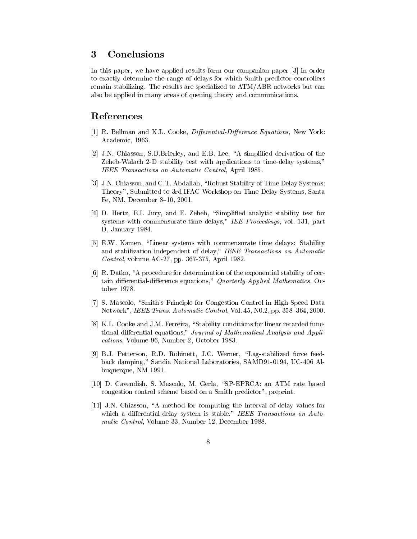#### **Conclusions** 3

In this paper, we have applied results form our companion paper [3] in order to exactly determine the range of delays for which Smith predictor controllers remain stabilizing. The results are specialized to ATM/ABR networks but can also be applied in many areas of queuing theory and communications.

### References

- [1] R. Bellman and K.L. Cooke, *Differential-Difference Equations*, New York: Academic, 1963.
- [2] J.N. Chiasson, S.D.Brierley, and E.B. Lee, "A simplified derivation of the Zeheb-Walach 2-D stability test with applications to time-delay systems," IEEE Transactions on Automatic Control, April 1985.
- [3] J.N. Chiasson, and C.T. Abdallah, "Robust Stability of Time Delay Systems: Theory", Submitted to 3rd IFAC Workshop on Time Delay Systems, Santa Fe, NM, December 8-10, 2001.
- [4] D. Hertz, E.I. Jury, and E. Zeheb, "Simplified analytic stability test for systems with commensurate time delays," IEE Proceedings, vol. 131, part D, January 1984.
- [5] E.W. Kamen, "Linear systems with commensurate time delays: Stability and stabilization independent of delay," IEEE Transactions on Automatic Control, volume AC-27, pp. 367-375, April 1982.
- $[6]$  R. Datko, "A procedure for determination of the exponential stability of certain differential-difference equations," Quarterly Applied Mathematics, October 1978.
- [7] S. Mascolo, "Smith's Principle for Congestion Control in High-Speed Data Network", IEEE Trans. Automatic Control, Vol. 45, N0.2, pp. 358-364, 2000.
- [8] K.L. Cooke and J.M. Ferreira, "Stability conditions for linear retarded functional differential equations," Journal of Mathematical Analysis and Applications, Volume 96, Number 2, October 1983.
- [9] B.J. Petterson, R.D. Robinett, J.C. Werner, "Lag-stabilized force feedback damping," Sandia National Laboratories, SAMD91-0194, UC-406 Albuquerque, NM 1991.
- [10] D. Cavendish, S. Mascolo, M. Gerla, "SP-EPRCA: an ATM rate based congestion control scheme based on a Smith predictor", preprint.
- $[11]$  J.N. Chiasson, "A method for computing the interval of delay values for which a differential-delay system is stable," IEEE Transactions on Automatic Control, Volume 33, Number 12, December 1988.